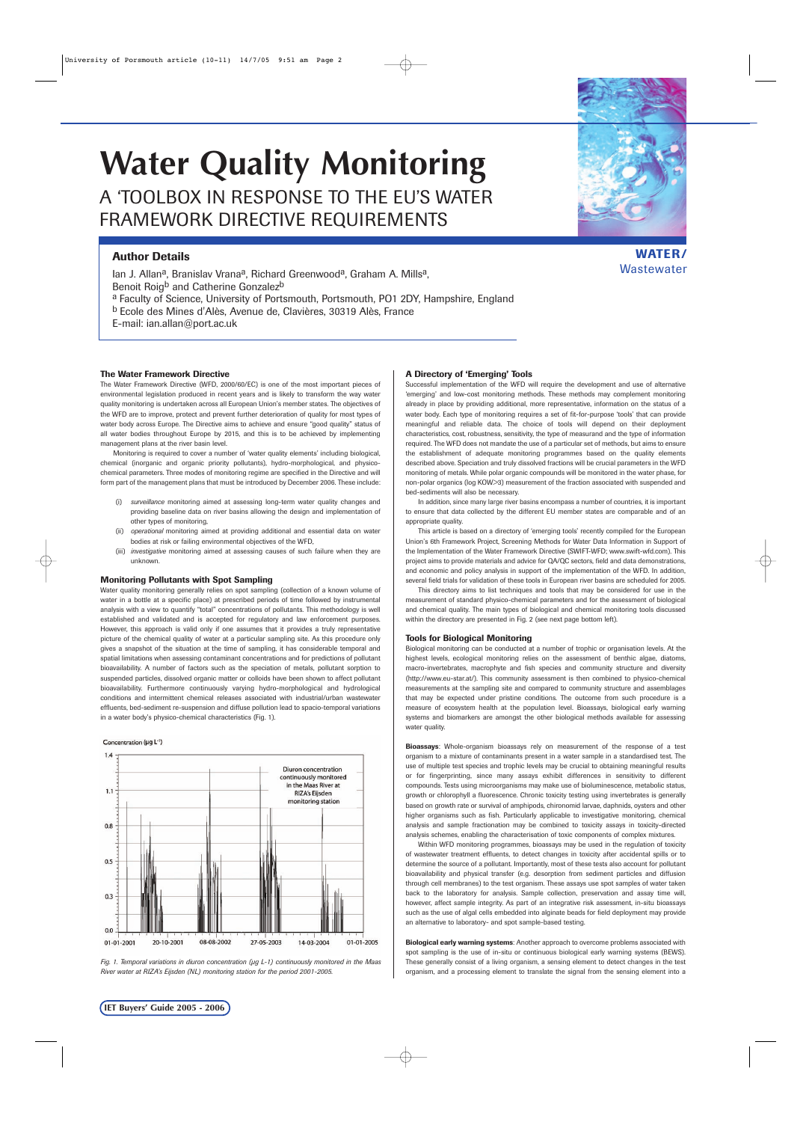# **Water Quality Monitoring**  A 'TOOLBOX IN RESPONSE TO THE EU'S WATER FRAMEWORK DIRECTIVE REQUIREMENTS

# **Author Details**

Ian J. Allan<sup>a</sup>, Branislav Vrana<sup>a</sup>, Richard Greenwood<sup>a</sup>, Graham A. Mills<sup>a</sup>, Benoit Roig<sup>b</sup> and Catherine Gonzalez<sup>b</sup> a Faculty of Science, University of Portsmouth, Portsmouth, PO1 2DY, Hampshire, England b Ecole des Mines d'Alès, Avenue de, Clavières, 30319 Alès, France

E-mail: ian.allan@port.ac.uk

## **The Water Framework Directive**

The Water Framework Directive (WFD, 2000/60/EC) is one of the most important pieces of environmental legislation produced in recent years and is likely to transform the way water quality monitoring is undertaken across all European Union's member states. The objectives of the WFD are to improve, protect and prevent further deterioration of quality for most types of water body across Europe. The Directive aims to achieve and ensure "good quality" status of all water bodies throughout Europe by 2015, and this is to be achieved by implementing management plans at the river basin level.

Monitoring is required to cover a number of 'water quality elements' including biological, chemical (inorganic and organic priority pollutants), hydro-morphological, and physicochemical parameters. Three modes of monitoring regime are specified in the Directive and will form part of the management plans that must be introduced by December 2006. These include:

- (i) *surveillance* monitoring aimed at assessing long-term water quality changes and providing baseline data on river basins allowing the design and implementation of other types of monitoring,
- (ii) *operational* monitoring aimed at providing additional and essential data on water bodies at risk or failing environmental objectives of the WFD,
- (iii) *investigative* monitoring aimed at assessing causes of such failure when they are unknown.

#### **Monitoring Pollutants with Spot Sampling**

Water quality monitoring generally relies on spot sampling (collection of a known volume of water in a bottle at a specific place) at prescribed periods of time followed by instrumental analysis with a view to quantify "total" concentrations of pollutants. This methodology is well established and validated and is accepted for regulatory and law enforcement purposes. However, this approach is valid only if one assumes that it provides a truly representative picture of the chemical quality of water at a particular sampling site. As this procedure only gives a snapshot of the situation at the time of sampling, it has considerable temporal and spatial limitations when assessing contaminant concentrations and for predictions of pollutant bioavailability. A number of factors such as the speciation of metals, pollutant sorption to suspended particles, dissolved organic matter or colloids have been shown to affect pollutant bioavailability. Furthermore continuously varying hydro-morphological and hydrological conditions and intermittent chemical releases associated with industrial/urban wastewater effluents, bed-sediment re-suspension and diffuse pollution lead to spacio-temporal variations in a water body's physico-chemical characteristics (Fig. 1).

#### Concentration (µq L<sup>-1</sup>)



*Fig. 1. Temporal variations in diuron concentration (µg L-1) continuously monitored in the Maas River water at RIZA's Eijsden (NL) monitoring station for the period 2001-2005.* 

## **A Directory of 'Emerging' Tools**

Successful implementation of the WFD will require the development and use of alternative 'emerging' and low-cost monitoring methods. These methods may complement monitoring already in place by providing additional, more representative, information on the status of a water body. Each type of monitoring requires a set of fit-for-purpose 'tools' that can provide meaningful and reliable data. The choice of tools will depend on their deployment characteristics, cost, robustness, sensitivity, the type of measurand and the type of information required. The WFD does not mandate the use of a particular set of methods, but aims to ensure the establishment of adequate monitoring programmes based on the quality elements described above. Speciation and truly dissolved fractions will be crucial parameters in the WFD monitoring of metals. While polar organic compounds will be monitored in the water phase, for non-polar organics (log KOW>3) measurement of the fraction associated with suspended and bed-sediments will also be necessary.

In addition, since many large river basins encompass a number of countries, it is important to ensure that data collected by the different EU member states are comparable and of an appropriate quality.

This article is based on a directory of 'emerging tools' recently compiled for the European Union's 6th Framework Project, Screening Methods for Water Data Information in Support of the Implementation of the Water Framework Directive (SWIFT-WFD; www.swift-wfd.com). This project aims to provide materials and advice for QA/QC sectors, field and data demonstrations, and economic and policy analysis in support of the implementation of the WFD. In addition, several field trials for validation of these tools in European river basins are scheduled for 2005.

This directory aims to list techniques and tools that may be considered for use in the measurement of standard physico-chemical parameters and for the assessment of biological and chemical quality. The main types of biological and chemical monitoring tools discussed within the directory are presented in Fig. 2 (see next page bottom left).

#### **Tools for Biological Monitoring**

Biological monitoring can be conducted at a number of trophic or organisation levels. At the highest levels, ecological monitoring relies on the assessment of benthic algae, diatoms, macro-invertebrates, macrophyte and fish species and community structure and diversity (http://www.eu-star.at/). This community assessment is then combined to physico-chemical measurements at the sampling site and compared to community structure and assemblages that may be expected under pristine conditions. The outcome from such procedure is a measure of ecosystem health at the population level. Bioassays, biological early warning systems and biomarkers are amongst the other biological methods available for assessing water quality.

**Bioassays**: Whole-organism bioassays rely on measurement of the response of a test organism to a mixture of contaminants present in a water sample in a standardised test. The use of multiple test species and trophic levels may be crucial to obtaining meaningful results or for fingerprinting, since many assays exhibit differences in sensitivity to different compounds. Tests using microorganisms may make use of bioluminescence, metabolic status, growth or chlorophyll a fluorescence. Chronic toxicity testing using invertebrates is generally based on growth rate or survival of amphipods, chironomid larvae, daphnids, oysters and other higher organisms such as fish. Particularly applicable to investigative monitoring, chemical analysis and sample fractionation may be combined to toxicity assays in toxicity-directed analysis schemes, enabling the characterisation of toxic components of complex mixtures.

Within WFD monitoring programmes, bioassays may be used in the regulation of toxicity of wastewater treatment effluents, to detect changes in toxicity after accidental spills or to determine the source of a pollutant. Importantly, most of these tests also account for pollutant bioavailability and physical transfer (e.g. desorption from sediment particles and diffusion through cell membranes) to the test organism. These assays use spot samples of water taken back to the laboratory for analysis. Sample collection, preservation and assay time will, however, affect sample integrity. As part of an integrative risk assessment, in-situ bioassays such as the use of algal cells embedded into alginate beads for field deployment may provide an alternative to laboratory- and spot sample-based testing.

**Biological early warning systems**: Another approach to overcome problems associated with spot sampling is the use of in-situ or continuous biological early warning systems (BEWS). These generally consist of a living organism, a sensing element to detect changes in the test organism, and a processing element to translate the signal from the sensing element into a



**WATER/** 

**Wastewater**